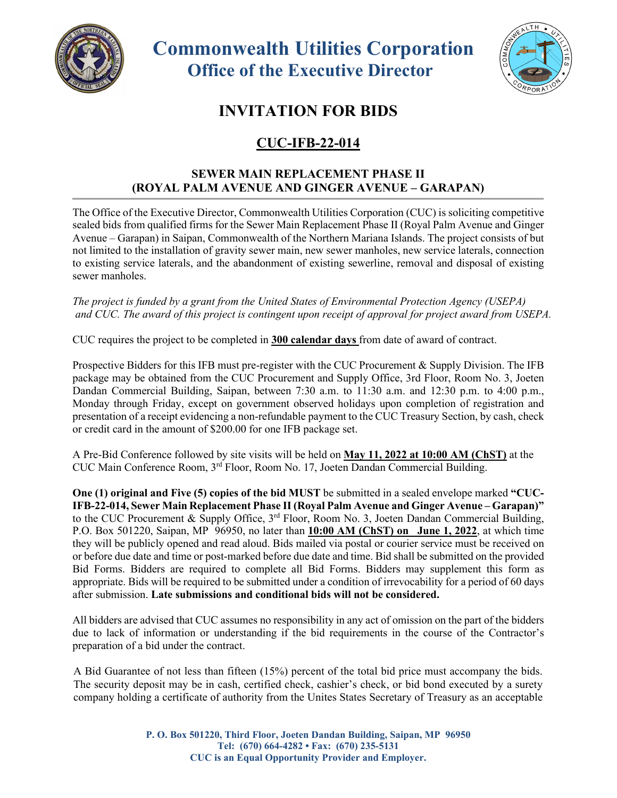

 **Commonwealth Utilities Corporation Office of the Executive Director**



## **INVITATION FOR BIDS**

## **CUC-IFB-22-014**

## **SEWER MAIN REPLACEMENT PHASE II (ROYAL PALM AVENUE AND GINGER AVENUE – GARAPAN)**

The Office of the Executive Director, Commonwealth Utilities Corporation (CUC) is soliciting competitive sealed bids from qualified firms for the Sewer Main Replacement Phase II (Royal Palm Avenue and Ginger Avenue – Garapan) in Saipan, Commonwealth of the Northern Mariana Islands. The project consists of but not limited to the installation of gravity sewer main, new sewer manholes, new service laterals, connection to existing service laterals, and the abandonment of existing sewerline, removal and disposal of existing sewer manholes.

*The project is funded by a grant from the United States of Environmental Protection Agency (USEPA) and CUC. The award of this project is contingent upon receipt of approval for project award from USEPA.*

CUC requires the project to be completed in **300 calendar days** from date of award of contract.

Prospective Bidders for this IFB must pre-register with the CUC Procurement & Supply Division. The IFB package may be obtained from the CUC Procurement and Supply Office, 3rd Floor, Room No. 3, Joeten Dandan Commercial Building, Saipan, between 7:30 a.m. to 11:30 a.m. and 12:30 p.m. to 4:00 p.m., Monday through Friday, except on government observed holidays upon completion of registration and presentation of a receipt evidencing a non-refundable payment to the CUC Treasury Section, by cash, check or credit card in the amount of \$200.00 for one IFB package set.

A Pre-Bid Conference followed by site visits will be held on **May 11, 2022 at 10:00 AM (ChST)** at the CUC Main Conference Room, 3rd Floor, Room No. 17, Joeten Dandan Commercial Building.

**One (1) original and Five (5) copies of the bid MUST** be submitted in a sealed envelope marked **"CUC-IFB-22-014, Sewer Main Replacement Phase II (Royal Palm Avenue and Ginger Avenue – Garapan)"**  to the CUC Procurement & Supply Office, 3<sup>rd</sup> Floor, Room No. 3, Joeten Dandan Commercial Building, P.O. Box 501220, Saipan, MP 96950, no later than **10:00 AM (ChST) on** \_**June 1, 2022**, at which time they will be publicly opened and read aloud. Bids mailed via postal or courier service must be received on or before due date and time or post-marked before due date and time. Bid shall be submitted on the provided Bid Forms. Bidders are required to complete all Bid Forms. Bidders may supplement this form as appropriate. Bids will be required to be submitted under a condition of irrevocability for a period of 60 days after submission. **Late submissions and conditional bids will not be considered.**

All bidders are advised that CUC assumes no responsibility in any act of omission on the part of the bidders due to lack of information or understanding if the bid requirements in the course of the Contractor's preparation of a bid under the contract.

A Bid Guarantee of not less than fifteen (15%) percent of the total bid price must accompany the bids. The security deposit may be in cash, certified check, cashier's check, or bid bond executed by a surety company holding a certificate of authority from the Unites States Secretary of Treasury as an acceptable

> **P. O. Box 501220, Third Floor, Joeten Dandan Building, Saipan, MP 96950 Tel: (670) 664-4282 • Fax: (670) 235-5131 CUC is an Equal Opportunity Provider and Employer.**